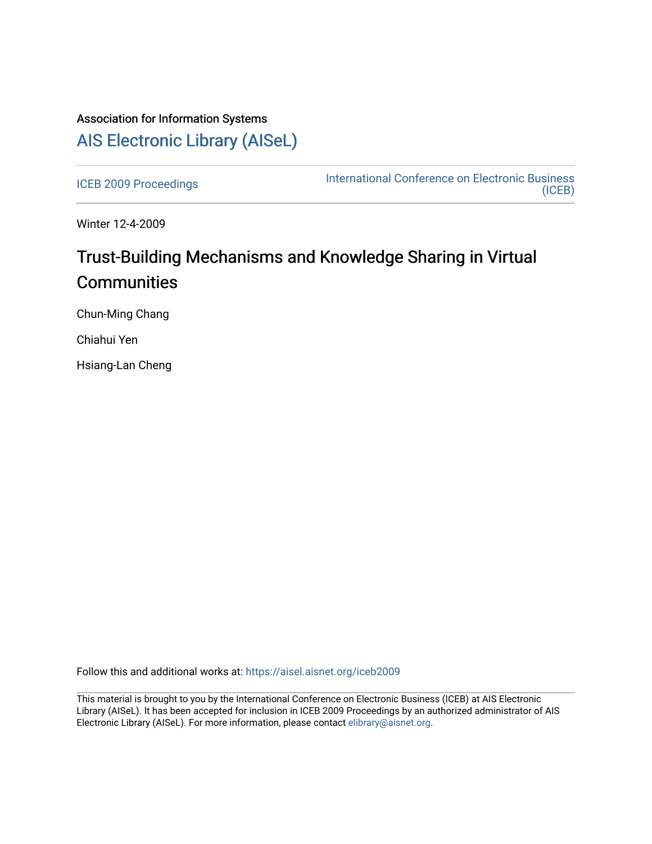# Association for Information Systems [AIS Electronic Library \(AISeL\)](https://aisel.aisnet.org/)

[ICEB 2009 Proceedings](https://aisel.aisnet.org/iceb2009) **International Conference on Electronic Business** [\(ICEB\)](https://aisel.aisnet.org/iceb) 

Winter 12-4-2009

# Trust-Building Mechanisms and Knowledge Sharing in Virtual **Communities**

Chun-Ming Chang

Chiahui Yen

Hsiang-Lan Cheng

Follow this and additional works at: [https://aisel.aisnet.org/iceb2009](https://aisel.aisnet.org/iceb2009?utm_source=aisel.aisnet.org%2Ficeb2009%2F146&utm_medium=PDF&utm_campaign=PDFCoverPages)

This material is brought to you by the International Conference on Electronic Business (ICEB) at AIS Electronic Library (AISeL). It has been accepted for inclusion in ICEB 2009 Proceedings by an authorized administrator of AIS Electronic Library (AISeL). For more information, please contact [elibrary@aisnet.org.](mailto:elibrary@aisnet.org%3E)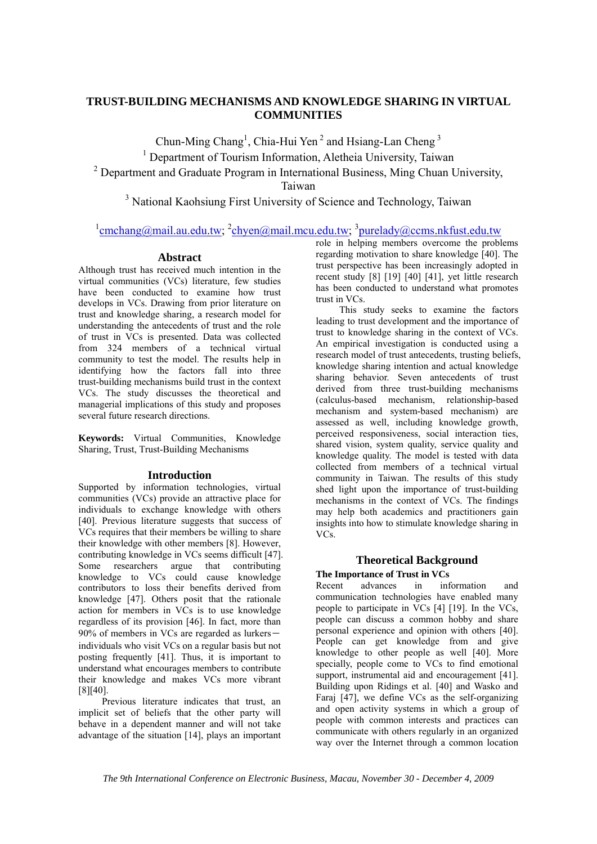# **TRUST-BUILDING MECHANISMS AND KNOWLEDGE SHARING IN VIRTUAL COMMUNITIES**

Chun-Ming Chang<sup>1</sup>, Chia-Hui Yen<sup>2</sup> and Hsiang-Lan Cheng<sup>3</sup> <sup>1</sup> Department of Tourism Information, Aletheia University, Taiwan  $2$  Department and Graduate Program in International Business, Ming Chuan University, Taiwan

<sup>3</sup> National Kaohsiung First University of Science and Technology, Taiwan

# $\frac{1}{2}$ cmchang@mail.au.edu.tw;  $\frac{2}{2}$ chyen@mail.mcu.edu.tw;  $\frac{3}{2}$ purelady@ccms.nkfust.edu.tw

#### **Abstract**

Although trust has received much intention in the virtual communities (VCs) literature, few studies have been conducted to examine how trust develops in VCs. Drawing from prior literature on trust and knowledge sharing, a research model for understanding the antecedents of trust and the role of trust in VCs is presented. Data was collected from 324 members of a technical virtual community to test the model. The results help in identifying how the factors fall into three trust-building mechanisms build trust in the context VCs. The study discusses the theoretical and managerial implications of this study and proposes several future research directions.

**Keywords:** Virtual Communities, Knowledge Sharing, Trust, Trust-Building Mechanisms

### **Introduction**

Supported by information technologies, virtual communities (VCs) provide an attractive place for individuals to exchange knowledge with others [40]. Previous literature suggests that success of VCs requires that their members be willing to share their knowledge with other members [8]. However, contributing knowledge in VCs seems difficult [47]. Some researchers argue that contributing knowledge to VCs could cause knowledge contributors to loss their benefits derived from knowledge [47]. Others posit that the rationale action for members in VCs is to use knowledge regardless of its provision [46]. In fact, more than  $90\%$  of members in VCs are regarded as lurkersindividuals who visit VCs on a regular basis but not posting frequently [41]. Thus, it is important to understand what encourages members to contribute their knowledge and makes VCs more vibrant [8][40].

Previous literature indicates that trust, an implicit set of beliefs that the other party will behave in a dependent manner and will not take advantage of the situation [14], plays an important role in helping members overcome the problems regarding motivation to share knowledge [40]. The trust perspective has been increasingly adopted in recent study [8] [19] [40] [41], yet little research has been conducted to understand what promotes trust in VCs.

This study seeks to examine the factors leading to trust development and the importance of trust to knowledge sharing in the context of VCs. An empirical investigation is conducted using a research model of trust antecedents, trusting beliefs, knowledge sharing intention and actual knowledge sharing behavior. Seven antecedents of trust derived from three trust-building mechanisms (calculus-based mechanism, relationship-based mechanism and system-based mechanism) are assessed as well, including knowledge growth, perceived responsiveness, social interaction ties, shared vision, system quality, service quality and knowledge quality. The model is tested with data collected from members of a technical virtual community in Taiwan. The results of this study shed light upon the importance of trust-building mechanisms in the context of VCs. The findings may help both academics and practitioners gain insights into how to stimulate knowledge sharing in VCs.

## **Theoretical Background**

**The Importance of Trust in VCs**<br>
Recent advances in inf Recent advances in information and communication technologies have enabled many people to participate in VCs [4] [19]. In the VCs, people can discuss a common hobby and share personal experience and opinion with others [40]. People can get knowledge from and give knowledge to other people as well [40]. More specially, people come to VCs to find emotional support, instrumental aid and encouragement [41]. Building upon Ridings et al. [40] and Wasko and Faraj [47], we define VCs as the self-organizing and open activity systems in which a group of people with common interests and practices can communicate with others regularly in an organized way over the Internet through a common location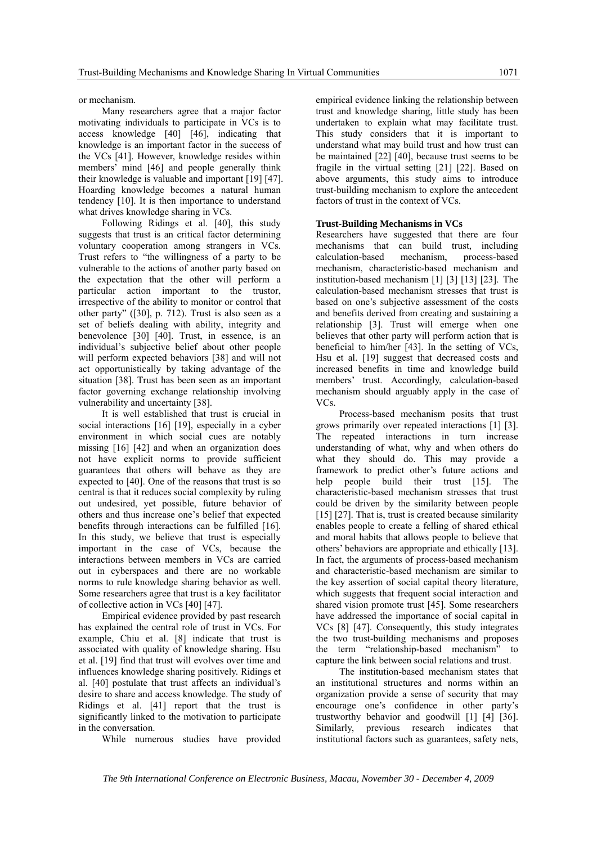or mechanism.

Many researchers agree that a major factor motivating individuals to participate in VCs is to access knowledge [40] [46], indicating that knowledge is an important factor in the success of the VCs [41]. However, knowledge resides within members' mind [46] and people generally think their knowledge is valuable and important [19] [47]. Hoarding knowledge becomes a natural human tendency [10]. It is then importance to understand what drives knowledge sharing in VCs.

Following Ridings et al. [40], this study suggests that trust is an critical factor determining voluntary cooperation among strangers in VCs. Trust refers to "the willingness of a party to be vulnerable to the actions of another party based on the expectation that the other will perform a particular action important to the trustor, irrespective of the ability to monitor or control that other party" ([30], p. 712). Trust is also seen as a set of beliefs dealing with ability, integrity and benevolence [30] [40]. Trust, in essence, is an individual's subjective belief about other people will perform expected behaviors [38] and will not act opportunistically by taking advantage of the situation [38]. Trust has been seen as an important factor governing exchange relationship involving vulnerability and uncertainty [38].

It is well established that trust is crucial in social interactions [16] [19], especially in a cyber environment in which social cues are notably missing [16] [42] and when an organization does not have explicit norms to provide sufficient guarantees that others will behave as they are expected to [40]. One of the reasons that trust is so central is that it reduces social complexity by ruling out undesired, yet possible, future behavior of others and thus increase one's belief that expected benefits through interactions can be fulfilled [16]. In this study, we believe that trust is especially important in the case of VCs, because the interactions between members in VCs are carried out in cyberspaces and there are no workable norms to rule knowledge sharing behavior as well. Some researchers agree that trust is a key facilitator of collective action in VCs [40] [47].

Empirical evidence provided by past research has explained the central role of trust in VCs. For example, Chiu et al. [8] indicate that trust is associated with quality of knowledge sharing. Hsu et al. [19] find that trust will evolves over time and influences knowledge sharing positively. Ridings et al. [40] postulate that trust affects an individual's desire to share and access knowledge. The study of Ridings et al. [41] report that the trust is significantly linked to the motivation to participate in the conversation.

While numerous studies have provided

empirical evidence linking the relationship between trust and knowledge sharing, little study has been undertaken to explain what may facilitate trust. This study considers that it is important to understand what may build trust and how trust can be maintained [22] [40], because trust seems to be fragile in the virtual setting [21] [22]. Based on above arguments, this study aims to introduce trust-building mechanism to explore the antecedent factors of trust in the context of VCs.

#### **Trust-Building Mechanisms in VCs**

Researchers have suggested that there are four mechanisms that can build trust, including calculation-based mechanism, process-based mechanism, characteristic-based mechanism and institution-based mechanism [1] [3] [13] [23]. The calculation-based mechanism stresses that trust is based on one's subjective assessment of the costs and benefits derived from creating and sustaining a relationship [3]. Trust will emerge when one believes that other party will perform action that is beneficial to him/her [43]. In the setting of VCs, Hsu et al. [19] suggest that decreased costs and increased benefits in time and knowledge build members' trust. Accordingly, calculation-based mechanism should arguably apply in the case of VCs.

Process-based mechanism posits that trust grows primarily over repeated interactions [1] [3]. The repeated interactions in turn increase understanding of what, why and when others do what they should do. This may provide a framework to predict other's future actions and help people build their trust [15]. The characteristic-based mechanism stresses that trust could be driven by the similarity between people [15] [27]. That is, trust is created because similarity enables people to create a felling of shared ethical and moral habits that allows people to believe that others' behaviors are appropriate and ethically [13]. In fact, the arguments of process-based mechanism and characteristic-based mechanism are similar to the key assertion of social capital theory literature, which suggests that frequent social interaction and shared vision promote trust [45]. Some researchers have addressed the importance of social capital in VCs [8] [47]. Consequently, this study integrates the two trust-building mechanisms and proposes the term "relationship-based mechanism" to capture the link between social relations and trust.

The institution-based mechanism states that an institutional structures and norms within an organization provide a sense of security that may encourage one's confidence in other party's trustworthy behavior and goodwill [1] [4] [36]. Similarly, previous research indicates that institutional factors such as guarantees, safety nets,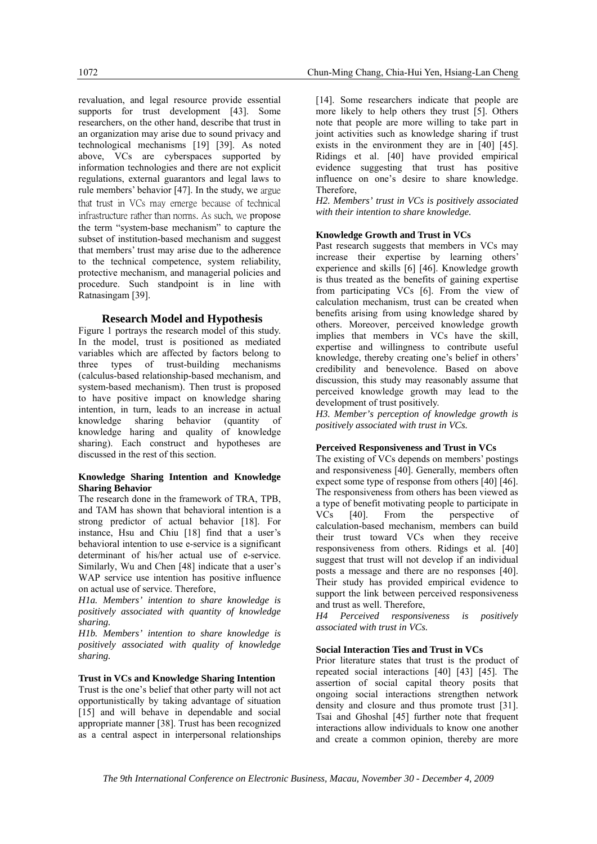revaluation, and legal resource provide essential supports for trust development [43]. Some researchers, on the other hand, describe that trust in an organization may arise due to sound privacy and technological mechanisms [19] [39]. As noted above, VCs are cyberspaces supported by information technologies and there are not explicit regulations, external guarantors and legal laws to rule members' behavior [47]. In the study, we argue that trust in VCs may emerge because of technical infrastructure rather than norms. As such, we propose the term "system-base mechanism" to capture the subset of institution-based mechanism and suggest that members' trust may arise due to the adherence to the technical competence, system reliability, protective mechanism, and managerial policies and procedure. Such standpoint is in line with Ratnasingam [39].

#### **Research Model and Hypothesis**

Figure 1 portrays the research model of this study. In the model, trust is positioned as mediated variables which are affected by factors belong to three types of trust-building mechanisms (calculus-based relationship-based mechanism, and system-based mechanism). Then trust is proposed to have positive impact on knowledge sharing intention, in turn, leads to an increase in actual knowledge sharing behavior (quantity of knowledge haring and quality of knowledge sharing). Each construct and hypotheses are discussed in the rest of this section.

#### **Knowledge Sharing Intention and Knowledge Sharing Behavior**

The research done in the framework of TRA, TPB, and TAM has shown that behavioral intention is a strong predictor of actual behavior [18]. For instance, Hsu and Chiu [18] find that a user's behavioral intention to use e-service is a significant determinant of his/her actual use of e-service. Similarly, Wu and Chen [48] indicate that a user's WAP service use intention has positive influence on actual use of service. Therefore,

*H1a. Members' intention to share knowledge is positively associated with quantity of knowledge sharing.* 

*H1b. Members' intention to share knowledge is positively associated with quality of knowledge sharing.*

#### **Trust in VCs and Knowledge Sharing Intention**

Trust is the one's belief that other party will not act opportunistically by taking advantage of situation [15] and will behave in dependable and social appropriate manner [38]. Trust has been recognized as a central aspect in interpersonal relationships

[14]. Some researchers indicate that people are more likely to help others they trust [5]. Others note that people are more willing to take part in joint activities such as knowledge sharing if trust exists in the environment they are in [40] [45]. Ridings et al. [40] have provided empirical evidence suggesting that trust has positive influence on one's desire to share knowledge. Therefore,

*H2. Members' trust in VCs is positively associated with their intention to share knowledge.*

#### **Knowledge Growth and Trust in VCs**

Past research suggests that members in VCs may increase their expertise by learning others' experience and skills [6] [46]. Knowledge growth is thus treated as the benefits of gaining expertise from participating VCs [6]. From the view of calculation mechanism, trust can be created when benefits arising from using knowledge shared by others. Moreover, perceived knowledge growth implies that members in VCs have the skill, expertise and willingness to contribute useful knowledge, thereby creating one's belief in others' credibility and benevolence. Based on above discussion, this study may reasonably assume that perceived knowledge growth may lead to the development of trust positively.

*H3. Member's perception of knowledge growth is positively associated with trust in VCs.*

#### **Perceived Responsiveness and Trust in VCs**

The existing of VCs depends on members' postings and responsiveness [40]. Generally, members often expect some type of response from others [40] [46]. The responsiveness from others has been viewed as a type of benefit motivating people to participate in<br>VCs [40]. From the perspective of VCs [40]. From the perspective of calculation-based mechanism, members can build their trust toward VCs when they receive responsiveness from others. Ridings et al. [40] suggest that trust will not develop if an individual posts a message and there are no responses [40]. Their study has provided empirical evidence to support the link between perceived responsiveness and trust as well. Therefore,

*H4 Perceived responsiveness is positively associated with trust in VCs.* 

#### **Social Interaction Ties and Trust in VCs**

Prior literature states that trust is the product of repeated social interactions [40] [43] [45]. The assertion of social capital theory posits that ongoing social interactions strengthen network density and closure and thus promote trust [31]. Tsai and Ghoshal [45] further note that frequent interactions allow individuals to know one another and create a common opinion, thereby are more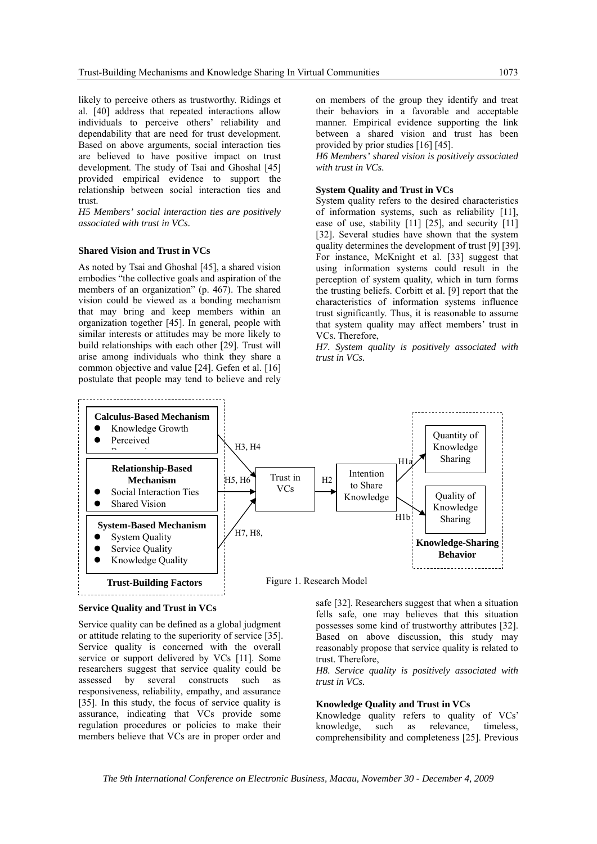likely to perceive others as trustworthy. Ridings et al. [40] address that repeated interactions allow individuals to perceive others' reliability and dependability that are need for trust development. Based on above arguments, social interaction ties are believed to have positive impact on trust development. The study of Tsai and Ghoshal [45] provided empirical evidence to support the relationship between social interaction ties and trust.

*H5 Members' social interaction ties are positively associated with trust in VCs.*

#### **Shared Vision and Trust in VCs**

As noted by Tsai and Ghoshal [45], a shared vision embodies "the collective goals and aspiration of the members of an organization" (p. 467). The shared vision could be viewed as a bonding mechanism that may bring and keep members within an organization together [45]. In general, people with similar interests or attitudes may be more likely to build relationships with each other [29]. Trust will arise among individuals who think they share a common objective and value [24]. Gefen et al. [16] postulate that people may tend to believe and rely

on members of the group they identify and treat their behaviors in a favorable and acceptable manner. Empirical evidence supporting the link between a shared vision and trust has been provided by prior studies [16] [45].

*H6 Members' shared vision is positively associated with trust in VCs.*

#### **System Quality and Trust in VCs**

System quality refers to the desired characteristics of information systems, such as reliability [11], ease of use, stability [11] [25], and security [11] [32]. Several studies have shown that the system quality determines the development of trust [9] [39]. For instance, McKnight et al. [33] suggest that using information systems could result in the perception of system quality, which in turn forms the trusting beliefs. Corbitt et al. [9] report that the characteristics of information systems influence trust significantly. Thus, it is reasonable to assume that system quality may affect members' trust in VCs. Therefore,

*H7. System quality is positively associated with trust in VCs.*





Service quality can be defined as a global judgment or attitude relating to the superiority of service [35]. Service quality is concerned with the overall service or support delivered by VCs [11]. Some researchers suggest that service quality could be assessed by several constructs such as responsiveness, reliability, empathy, and assurance [35]. In this study, the focus of service quality is assurance, indicating that VCs provide some regulation procedures or policies to make their members believe that VCs are in proper order and

safe [32]. Researchers suggest that when a situation fells safe, one may believes that this situation possesses some kind of trustworthy attributes [32]. Based on above discussion, this study may reasonably propose that service quality is related to trust. Therefore,

*H8. Service quality is positively associated with trust in VCs.*

#### **Knowledge Quality and Trust in VCs**

Knowledge quality refers to quality of VCs' knowledge, such as relevance, timeless, comprehensibility and completeness [25]. Previous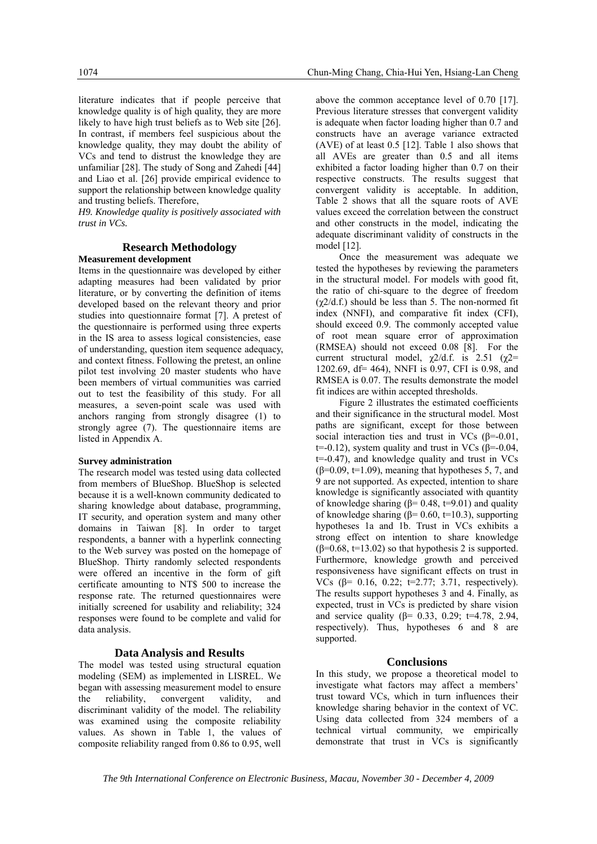literature indicates that if people perceive that knowledge quality is of high quality, they are more likely to have high trust beliefs as to Web site [26]. In contrast, if members feel suspicious about the knowledge quality, they may doubt the ability of VCs and tend to distrust the knowledge they are unfamiliar [28]. The study of Song and Zahedi [44] and Liao et al. [26] provide empirical evidence to support the relationship between knowledge quality and trusting beliefs. Therefore,

*H9. Knowledge quality is positively associated with trust in VCs.*

#### **Research Methodology Measurement development**

Items in the questionnaire was developed by either adapting measures had been validated by prior literature, or by converting the definition of items developed based on the relevant theory and prior studies into questionnaire format [7]. A pretest of the questionnaire is performed using three experts in the IS area to assess logical consistencies, ease of understanding, question item sequence adequacy, and context fitness. Following the pretest, an online pilot test involving 20 master students who have been members of virtual communities was carried out to test the feasibility of this study. For all measures, a seven-point scale was used with anchors ranging from strongly disagree (1) to strongly agree (7). The questionnaire items are listed in Appendix A.

#### **Survey administration**

The research model was tested using data collected from members of BlueShop. BlueShop is selected because it is a well-known community dedicated to sharing knowledge about database, programming, IT security, and operation system and many other domains in Taiwan [8]. In order to target respondents, a banner with a hyperlink connecting to the Web survey was posted on the homepage of BlueShop. Thirty randomly selected respondents were offered an incentive in the form of gift certificate amounting to NT\$ 500 to increase the response rate. The returned questionnaires were initially screened for usability and reliability; 324 responses were found to be complete and valid for data analysis.

#### **Data Analysis and Results**

The model was tested using structural equation modeling (SEM) as implemented in LISREL. We began with assessing measurement model to ensure the reliability, convergent validity, and discriminant validity of the model. The reliability was examined using the composite reliability values. As shown in Table 1, the values of composite reliability ranged from 0.86 to 0.95, well

above the common acceptance level of 0.70 [17]. Previous literature stresses that convergent validity is adequate when factor loading higher than 0.7 and constructs have an average variance extracted (AVE) of at least 0.5 [12]. Table 1 also shows that all AVEs are greater than 0.5 and all items exhibited a factor loading higher than 0.7 on their respective constructs. The results suggest that convergent validity is acceptable. In addition, Table 2 shows that all the square roots of AVE values exceed the correlation between the construct and other constructs in the model, indicating the adequate discriminant validity of constructs in the model [12].

Once the measurement was adequate we tested the hypotheses by reviewing the parameters in the structural model. For models with good fit, the ratio of chi-square to the degree of freedom  $(\chi 2/d.f.)$  should be less than 5. The non-normed fit index (NNFI), and comparative fit index (CFI), should exceed 0.9. The commonly accepted value of root mean square error of approximation (RMSEA) should not exceed 0.08 [8]. For the current structural model,  $\chi$ 2/d.f. is 2.51 ( $\chi$ 2= 1202.69, df= 464), NNFI is 0.97, CFI is 0.98, and RMSEA is 0.07. The results demonstrate the model fit indices are within accepted thresholds.

Figure 2 illustrates the estimated coefficients and their significance in the structural model. Most paths are significant, except for those between social interaction ties and trust in VCs  $(\beta = 0.01)$ ,  $t=-0.12$ ), system quality and trust in VCs ( $\beta=-0.04$ ,  $t=-0.47$ ), and knowledge quality and trust in VCs  $(\beta=0.09, t=1.09)$ , meaning that hypotheses 5, 7, and 9 are not supported. As expected, intention to share knowledge is significantly associated with quantity of knowledge sharing ( $\beta$ = 0.48, t=9.01) and quality of knowledge sharing ( $β= 0.60$ ,  $t=10.3$ ), supporting hypotheses 1a and 1b. Trust in VCs exhibits a strong effect on intention to share knowledge  $(\beta=0.68, t=13.02)$  so that hypothesis 2 is supported. Furthermore, knowledge growth and perceived responsiveness have significant effects on trust in VCs (β= 0.16, 0.22; t=2.77; 3.71, respectively). The results support hypotheses 3 and 4. Finally, as expected, trust in VCs is predicted by share vision and service quality ( $β = 0.33, 0.29$ ; t=4.78, 2.94, respectively). Thus, hypotheses 6 and 8 are supported.

#### **Conclusions**

In this study, we propose a theoretical model to investigate what factors may affect a members' trust toward VCs, which in turn influences their knowledge sharing behavior in the context of VC. Using data collected from 324 members of a technical virtual community, we empirically demonstrate that trust in VCs is significantly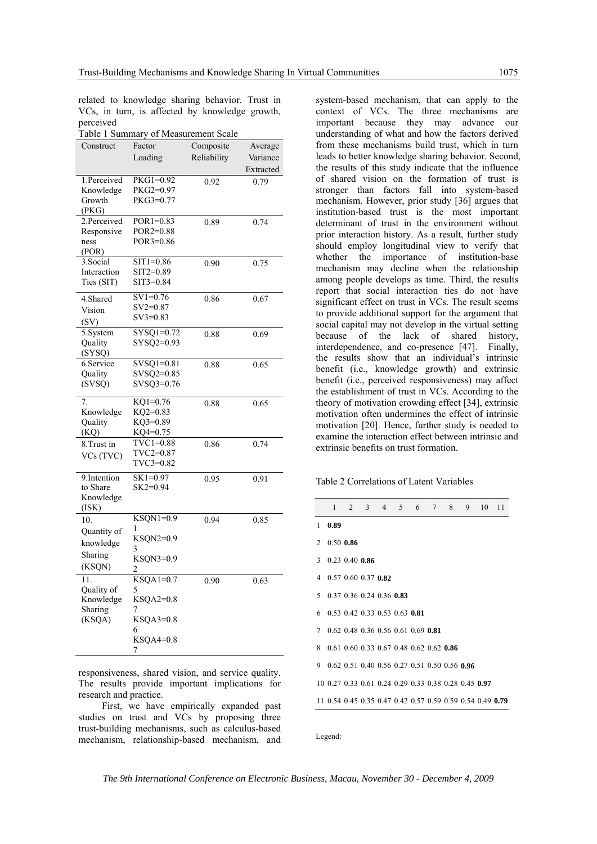related to knowledge sharing behavior. Trust in VCs, in turn, is affected by knowledge growth, perceived

Table 1 Summary of Measurement Scale

| Construct           | Factor                     | Composite   | Average   |
|---------------------|----------------------------|-------------|-----------|
|                     | Loading                    | Reliability | Variance  |
|                     |                            |             | Extracted |
| 1.Perceived         | PKG1=0.92                  | 0.92        | 0.79      |
| Knowledge           | PKG2=0.97                  |             |           |
| Growth              | PKG3=0.77                  |             |           |
| (PKG)               |                            |             |           |
| 2.Perceived         | $POR1=0.83$                | 0.89        | 0.74      |
| Responsive<br>ness  | $POR2=0.88$<br>POR3=0.86   |             |           |
| (POR)               |                            |             |           |
| 3. Social           | $ST1 = 0.86$               | 0.90        | 0.75      |
| Interaction         | SIT2=0.89                  |             |           |
| Ties (SIT)          | SIT3=0.84                  |             |           |
| 4.Shared            | $SV1=0.76$                 | 0.86        | 0.67      |
|                     | $SV2=0.87$                 |             |           |
| Vision              | $SV3=0.83$                 |             |           |
| (SV)                |                            |             |           |
| 5.System<br>Quality | $SYSQ1=0.72$<br>SYSQ2=0.93 | 0.88        | 0.69      |
| (SYSQ)              |                            |             |           |
| 6.Service           | $SVSQ1=0.81$               | 0.88        | 0.65      |
| Quality             | SVSQ2=0.85                 |             |           |
| (SVSQ)              | SVSQ3=0.76                 |             |           |
|                     |                            |             |           |
| 7.                  | $KO1=0.76$                 | 0.88        | 0.65      |
| Knowledge           | $KQ2=0.83$                 |             |           |
| Quality             | KQ3=0.89                   |             |           |
| (KQ)                | KQ4=0.75<br>TVC1=0.88      |             |           |
| 8. Trust in         | TVC2=0.87                  | 0.86        | 0.74      |
| VCs (TVC)           | TVC3=0.82                  |             |           |
|                     |                            |             |           |
| 9.Intention         | $SK1=0.97$<br>$SK2=0.94$   | 0.95        | 0.91      |
| to Share            |                            |             |           |
| Knowledge<br>(ISK)  |                            |             |           |
| 10.                 | $KSQN1=0.9$                | 0.94        | 0.85      |
| Quantity of         | 1                          |             |           |
|                     | KSQN2=0.9                  |             |           |
| knowledge           | 3                          |             |           |
| Sharing             | KSQN3=0.9                  |             |           |
| (KSQN)              | 2                          |             |           |
| 11.                 | $KSQA1=0.7$                | 0.90        | 0.63      |
| Quality of          | 5                          |             |           |
| Knowledge           | KSQA2=0.8<br>7             |             |           |
| Sharing<br>(KSQA)   | $KSQA3=0.8$                |             |           |
|                     | 6                          |             |           |
|                     | $KSQA4=0.8$                |             |           |
|                     | 7                          |             |           |
|                     |                            |             |           |

responsiveness, shared vision, and service quality. The results provide important implications for research and practice.

First, we have empirically expanded past studies on trust and VCs by proposing three trust-building mechanisms, such as calculus-based mechanism, relationship-based mechanism, and

system-based mechanism, that can apply to the context of VCs. The three mechanisms are important because they may advance our understanding of what and how the factors derived from these mechanisms build trust, which in turn leads to better knowledge sharing behavior. Second, the results of this study indicate that the influence of shared vision on the formation of trust is stronger than factors fall into system-based mechanism. However, prior study [36] argues that institution-based trust is the most important determinant of trust in the environment without prior interaction history. As a result, further study should employ longitudinal view to verify that whether the importance of institution-base mechanism may decline when the relationship among people develops as time. Third, the results report that social interaction ties do not have significant effect on trust in VCs. The result seems to provide additional support for the argument that social capital may not develop in the virtual setting because of the lack of shared history, interdependence, and co-presence [47]. Finally, the results show that an individual's intrinsic benefit (i.e., knowledge growth) and extrinsic benefit (i.e., perceived responsiveness) may affect the establishment of trust in VCs. According to the theory of motivation crowding effect [34], extrinsic motivation often undermines the effect of intrinsic motivation [20]. Hence, further study is needed to examine the interaction effect between intrinsic and extrinsic benefits on trust formation.

Table 2 Correlations of Latent Variables

|              |             | $1 \t2 \t3 \t4 \t5 \t6 \t7 \t8 \t9$                       |  |  |  | 10 | 11 |
|--------------|-------------|-----------------------------------------------------------|--|--|--|----|----|
| $\mathbf{1}$ | 0.89        |                                                           |  |  |  |    |    |
|              | 2 0.50 0.86 |                                                           |  |  |  |    |    |
|              |             | $3$ 0.23 0.40 0.86                                        |  |  |  |    |    |
|              |             | 4 0.57 0.60 0.37 0.82                                     |  |  |  |    |    |
|              |             | 5 0.37 0.36 0.24 0.36 0.83                                |  |  |  |    |    |
|              |             | 6 0.53 0.42 0.33 0.53 0.63 0.81                           |  |  |  |    |    |
|              |             | 7 0.62 0.48 0.36 0.56 0.61 0.69 0.81                      |  |  |  |    |    |
|              |             | 8 0.61 0.60 0.33 0.67 0.48 0.62 0.62 0.86                 |  |  |  |    |    |
|              |             | 9 0.62 0.51 0.40 0.56 0.27 0.51 0.50 0.56 0.96            |  |  |  |    |    |
|              |             | 10 0.27 0.33 0.61 0.24 0.29 0.33 0.38 0.28 0.45 0.97      |  |  |  |    |    |
|              |             | 11 0.54 0.45 0.35 0.47 0.42 0.57 0.59 0.59 0.54 0.49 0.79 |  |  |  |    |    |
|              |             |                                                           |  |  |  |    |    |

Legend: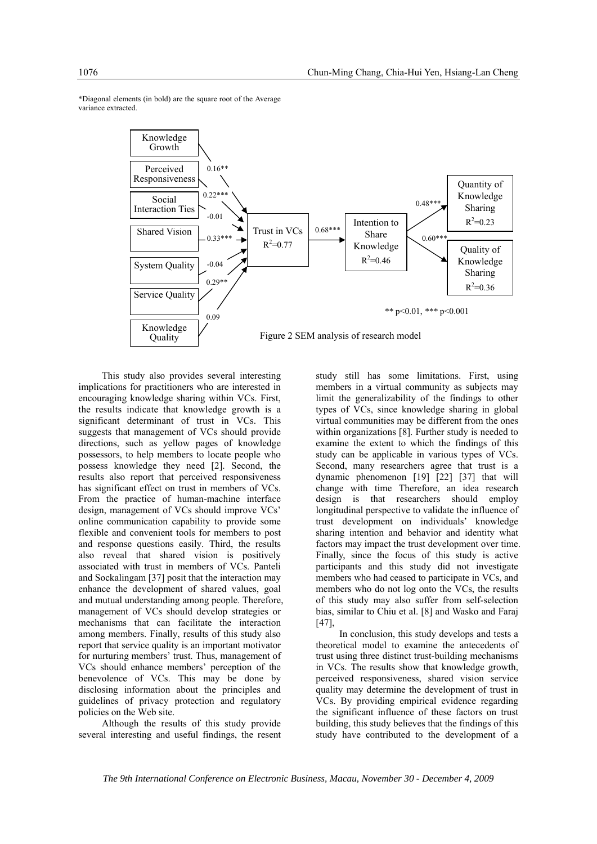

\*Diagonal elements (in bold) are the square root of the Average variance extracted.

This study also provides several interesting implications for practitioners who are interested in encouraging knowledge sharing within VCs. First, the results indicate that knowledge growth is a significant determinant of trust in VCs. This suggests that management of VCs should provide directions, such as yellow pages of knowledge possessors, to help members to locate people who possess knowledge they need [2]. Second, the results also report that perceived responsiveness has significant effect on trust in members of VCs. From the practice of human-machine interface design, management of VCs should improve VCs' online communication capability to provide some flexible and convenient tools for members to post and response questions easily. Third, the results also reveal that shared vision is positively associated with trust in members of VCs. Panteli and Sockalingam [37] posit that the interaction may enhance the development of shared values, goal and mutual understanding among people. Therefore, management of VCs should develop strategies or mechanisms that can facilitate the interaction among members. Finally, results of this study also report that service quality is an important motivator for nurturing members' trust. Thus, management of VCs should enhance members' perception of the benevolence of VCs. This may be done by disclosing information about the principles and guidelines of privacy protection and regulatory policies on the Web site.

Although the results of this study provide several interesting and useful findings, the resent

study still has some limitations. First, using members in a virtual community as subjects may limit the generalizability of the findings to other types of VCs, since knowledge sharing in global virtual communities may be different from the ones within organizations [8]. Further study is needed to examine the extent to which the findings of this study can be applicable in various types of VCs. Second, many researchers agree that trust is a dynamic phenomenon [19] [22] [37] that will change with time Therefore, an idea research design is that researchers should employ longitudinal perspective to validate the influence of trust development on individuals' knowledge sharing intention and behavior and identity what factors may impact the trust development over time. Finally, since the focus of this study is active participants and this study did not investigate members who had ceased to participate in VCs, and members who do not log onto the VCs, the results of this study may also suffer from self-selection bias, similar to Chiu et al. [8] and Wasko and Faraj [47],

In conclusion, this study develops and tests a theoretical model to examine the antecedents of trust using three distinct trust-building mechanisms in VCs. The results show that knowledge growth, perceived responsiveness, shared vision service quality may determine the development of trust in VCs. By providing empirical evidence regarding the significant influence of these factors on trust building, this study believes that the findings of this study have contributed to the development of a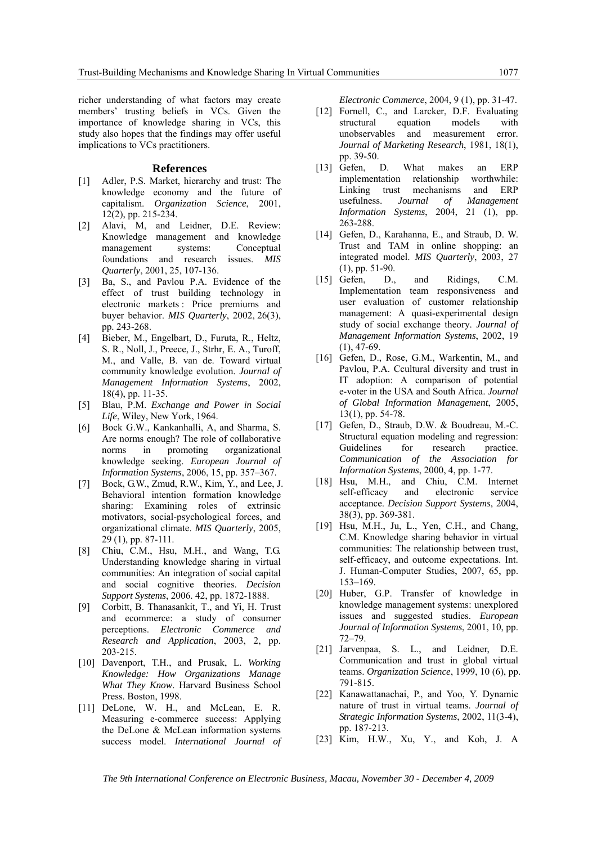richer understanding of what factors may create members' trusting beliefs in VCs. Given the importance of knowledge sharing in VCs, this study also hopes that the findings may offer useful implications to VCs practitioners.

#### **References**

- [1] Adler, P.S. Market, hierarchy and trust: The knowledge economy and the future of capitalism. *Organization Science*, 2001, 12(2), pp. 215-234.
- [2] Alavi, M, and Leidner, D.E. Review: Knowledge management and knowledge<br>management systems: Conceptual management systems: Conceptual foundations and research issues. *MIS Quarterly*, 2001, 25, 107-136.
- [3] Ba, S., and Pavlou P.A. Evidence of the effect of trust building technology in electronic markets : Price premiums and buyer behavior. *MIS Quarterly*, 2002, 26(3), pp. 243-268.
- [4] Bieber, M., Engelbart, D., Furuta, R., Heltz, S. R., Noll, J., Preece, J., Strhr, E. A., Turoff, M., and Valle, B. van de. Toward virtual community knowledge evolution. *Journal of Management Information Systems*, 2002, 18(4), pp. 11-35.
- [5] Blau, P.M. *Exchange and Power in Social Life*, Wiley, New York, 1964.
- [6] Bock G.W., Kankanhalli, A, and Sharma, S. Are norms enough? The role of collaborative norms in promoting organizational knowledge seeking. *European Journal of Information Systems*, 2006, 15, pp. 357–367.
- [7] Bock, G.W., Zmud, R.W., Kim, Y., and Lee, J. Behavioral intention formation knowledge sharing: Examining roles of extrinsic motivators, social-psychological forces, and organizational climate. *MIS Quarterly*, 2005, 29 (1), pp. 87-111.
- [8] Chiu, C.M., Hsu, M.H., and Wang, T.G. Understanding knowledge sharing in virtual communities: An integration of social capital and social cognitive theories. *Decision Support Systems*, 2006. 42, pp. 1872-1888.
- [9] Corbitt, B. Thanasankit, T., and Yi, H. Trust and ecommerce: a study of consumer perceptions. *Electronic Commerce and Research and Application*, 2003, 2, pp. 203-215.
- [10] Davenport, T.H., and Prusak, L. *Working Knowledge: How Organizations Manage What They Know*. Harvard Business School Press. Boston, 1998.
- [11] DeLone, W. H., and McLean, E. R. Measuring e-commerce success: Applying the DeLone & McLean information systems success model. *International Journal of*

*Electronic Commerce*, 2004, 9 (1), pp. 31-47.

- [12] Fornell, C., and Larcker, D.F. Evaluating structural equation models with unobservables and measurement error. *Journal of Marketing Research*, 1981, 18(1), pp. 39-50.
- [13] Gefen, D. What makes an ERP implementation relationship worthwhile: Linking trust mechanisms and ERP usefulness. *Journal of Management Information Systems*, 2004, 21 (1), pp. 263-288.
- [14] Gefen, D., Karahanna, E., and Straub, D. W. Trust and TAM in online shopping: an integrated model. *MIS Quarterly*, 2003, 27 (1), pp. 51-90.
- [15] Gefen, D., and Ridings, C.M. Implementation team responsiveness and user evaluation of customer relationship management: A quasi-experimental design study of social exchange theory. *Journal of Management Information Systems*, 2002, 19  $(1), 47-69.$
- [16] Gefen, D., Rose, G.M., Warkentin, M., and Pavlou, P.A. Ccultural diversity and trust in IT adoption: A comparison of potential e-voter in the USA and South Africa. *Journal of Global Information Management*, 2005, 13(1), pp. 54-78.
- [17] Gefen, D., Straub, D.W. & Boudreau, M.-C. Structural equation modeling and regression: Guidelines for research practice. *Communication of the Association for Information Systems*, 2000, 4, pp. 1-77.
- [18] Hsu, M.H., and Chiu, C.M. Internet self-efficacy and electronic service acceptance. *Decision Support Systems*, 2004, 38(3), pp. 369-381.
- [19] Hsu, M.H., Ju, L., Yen, C.H., and Chang, C.M. Knowledge sharing behavior in virtual communities: The relationship between trust, self-efficacy, and outcome expectations. Int. J. Human-Computer Studies, 2007, 65, pp. 153–169.
- [20] Huber, G.P. Transfer of knowledge in knowledge management systems: unexplored issues and suggested studies. *European Journal of Information Systems*, 2001, 10, pp. 72–79.
- [21] Jarvenpaa, S. L., and Leidner, D.E. Communication and trust in global virtual teams. *Organization Science*, 1999, 10 (6), pp. 791-815.
- [22] Kanawattanachai, P., and Yoo, Y. Dynamic nature of trust in virtual teams. *Journal of Strategic Information Systems*, 2002, 11(3-4), pp. 187-213.
- [23] Kim, H.W., Xu, Y., and Koh, J. A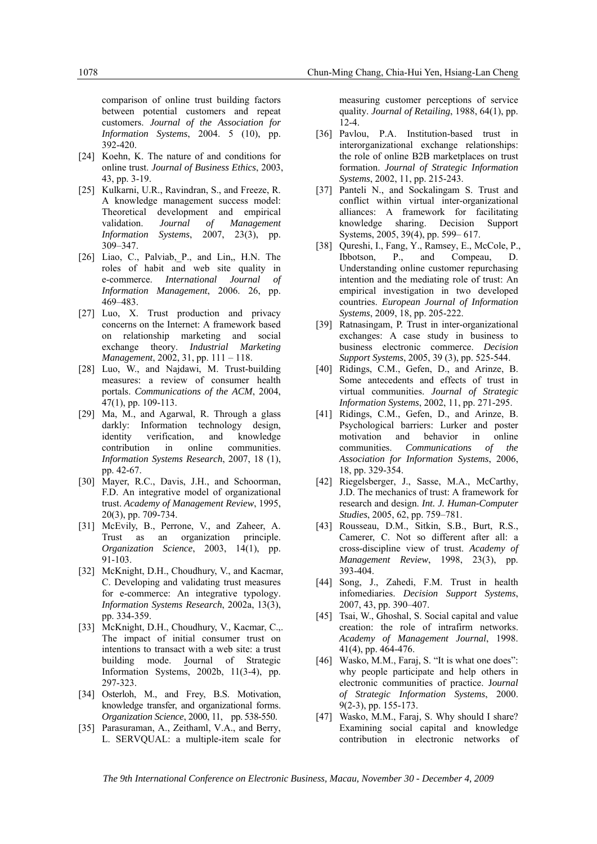comparison of online trust building factors between potential customers and repeat customers. *Journal of the Association for Information Systems*, 2004. 5 (10), pp. 392-420.

- [24] Koehn, K. The nature of and conditions for online trust. *Journal of Business Ethics*, 2003, 43, pp. 3-19.
- [25] Kulkarni, U.R., Ravindran, S., and Freeze, R. A knowledge management success model: Theoretical development and empirical validation. *Journal of Management Information Systems*, 2007, 23(3), pp. 309–347.
- [26] Liao, C., Palviab, P., and Lin,, H.N. The roles of habit and web site quality in e-commerce. *International Journal of Information Management*, 2006. 26, pp. 469–483.
- [27] Luo, X. Trust production and privacy concerns on the Internet: A framework based on relationship marketing and social exchange theory. *Industrial Marketing Management*, 2002, 31, pp. 111 – 118.
- [28] Luo, W., and Najdawi, M. Trust-building measures: a review of consumer health portals. *Communications of the ACM*, 2004, 47(1), pp. 109-113.
- [29] Ma, M., and Agarwal, R. Through a glass darkly: Information technology design, identity verification, and knowledge contribution in online communities. *Information Systems Research*, 2007, 18 (1), pp. 42-67.
- [30] Mayer, R.C., Davis, J.H., and Schoorman, F.D. An integrative model of organizational trust. *Academy of Management Review*, 1995, 20(3), pp. 709-734.
- [31] McEvily, B., Perrone, V., and Zaheer, A. Trust as an organization principle. *Organization Science*, 2003, 14(1), pp. 91-103.
- [32] McKnight, D.H., Choudhury, V., and Kacmar, C. Developing and validating trust measures for e-commerce: An integrative typology. *Information Systems Research*, 2002a, 13(3), pp. 334-359.
- [33] McKnight, D.H., Choudhury, V., Kacmar, C.,. The impact of initial consumer trust on intentions to transact with a web site: a trust building mode. Journal of Strategic Information Systems, 2002b, 11(3-4), pp. 297-323.
- [34] Osterloh, M., and Frey, B.S. Motivation, knowledge transfer, and organizational forms. *Organization Science*, 2000, 11, pp. 538-550.
- [35] Parasuraman, A., Zeithaml, V.A., and Berry, L. SERVQUAL: a multiple-item scale for

measuring customer perceptions of service quality. *Journal of Retailing*, 1988, 64(1), pp. 12-4.

- [36] Pavlou, P.A. Institution-based trust in interorganizational exchange relationships: the role of online B2B marketplaces on trust formation. *Journal of Strategic Information Systems*, 2002, 11, pp. 215-243.
- [37] Panteli N., and Sockalingam S. Trust and conflict within virtual inter-organizational alliances: A framework for facilitating knowledge sharing. Decision Support Systems, 2005, 39(4), pp. 599– 617.
- [38] Qureshi, I., Fang, Y., Ramsey, E., McCole, P., Ibbotson, P., and Compeau, D. Understanding online customer repurchasing intention and the mediating role of trust: An empirical investigation in two developed countries. *European Journal of Information Systems*, 2009, 18, pp. 205-222.
- [39] Ratnasingam, P. Trust in inter-organizational exchanges: A case study in business to business electronic commerce. *Decision Support Systems*, 2005, 39 (3), pp. 525-544.
- [40] Ridings, C.M., Gefen, D., and Arinze, B. Some antecedents and effects of trust in virtual communities. *Journal of Strategic Information Systems*, 2002, 11, pp. 271-295.
- [41] Ridings, C.M., Gefen, D., and Arinze, B. Psychological barriers: Lurker and poster motivation and behavior in online communities. *Communications of the Association for Information Systems*, 2006, 18, pp. 329-354.
- [42] Riegelsberger, J., Sasse, M.A., McCarthy, J.D. The mechanics of trust: A framework for research and design. *Int. J. Human-Computer Studies*, 2005, 62, pp. 759–781.
- [43] Rousseau, D.M., Sitkin, S.B., Burt, R.S., Camerer, C. Not so different after all: a cross-discipline view of trust. *Academy of Management Review*, 1998, 23(3), pp. 393-404.
- [44] Song, J., Zahedi, F.M. Trust in health infomediaries. *Decision Support Systems*, 2007, 43, pp. 390–407.
- [45] Tsai, W., Ghoshal, S. Social capital and value creation: the role of intrafirm networks. *Academy of Management Journal*, 1998. 41(4), pp. 464-476.
- [46] Wasko, M.M., Faraj, S. "It is what one does": why people participate and help others in electronic communities of practice. J*ournal of Strategic Information Systems*, 2000. 9(2-3), pp. 155-173.
- [47] Wasko, M.M., Faraj, S. Why should I share? Examining social capital and knowledge contribution in electronic networks of

*The 9th International Conference on Electronic Business, Macau, November 30 - December 4, 2009*